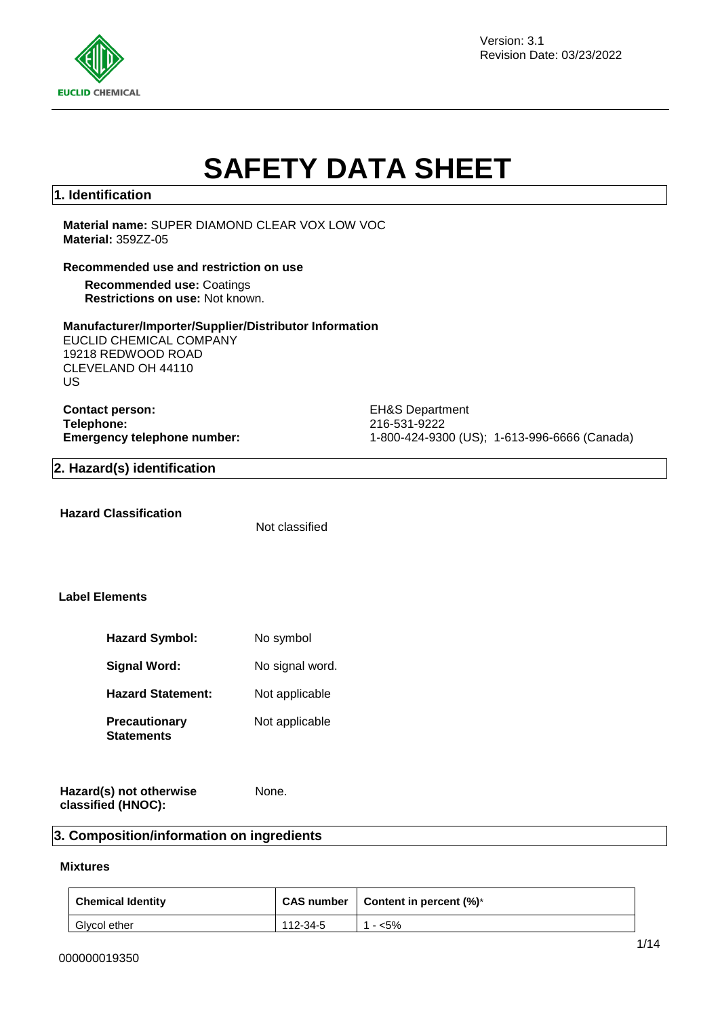

Version: 3.1 Revision Date: 03/23/2022

# **SAFETY DATA SHEET**

#### **1. Identification**

**Material name:** SUPER DIAMOND CLEAR VOX LOW VOC **Material:** 359ZZ-05

#### **Recommended use and restriction on use**

**Recommended use:** Coatings **Restrictions on use:** Not known.

#### **Manufacturer/Importer/Supplier/Distributor Information**

EUCLID CHEMICAL COMPANY 19218 REDWOOD ROAD CLEVELAND OH 44110 US

**Contact person:** EH&S Department **Telephone:** 216-531-9222

**Emergency telephone number:** 1-800-424-9300 (US); 1-613-996-6666 (Canada)

#### **2. Hazard(s) identification**

**Hazard Classification**

Not classified

#### **Label Elements**

| <b>Hazard Symbol:</b>                     | No symbol       |
|-------------------------------------------|-----------------|
| <b>Signal Word:</b>                       | No signal word. |
| <b>Hazard Statement:</b>                  | Not applicable  |
| <b>Precautionary</b><br><b>Statements</b> | Not applicable  |

|                    | Hazard(s) not otherwise | None. |
|--------------------|-------------------------|-------|
| classified (HNOC): |                         |       |

#### **3. Composition/information on ingredients**

#### **Mixtures**

| <b>Chemical Identity</b> |          | CAS number   Content in percent $(\%)^*$ |
|--------------------------|----------|------------------------------------------|
| Glycol ether             | 112-34-5 | - <5%                                    |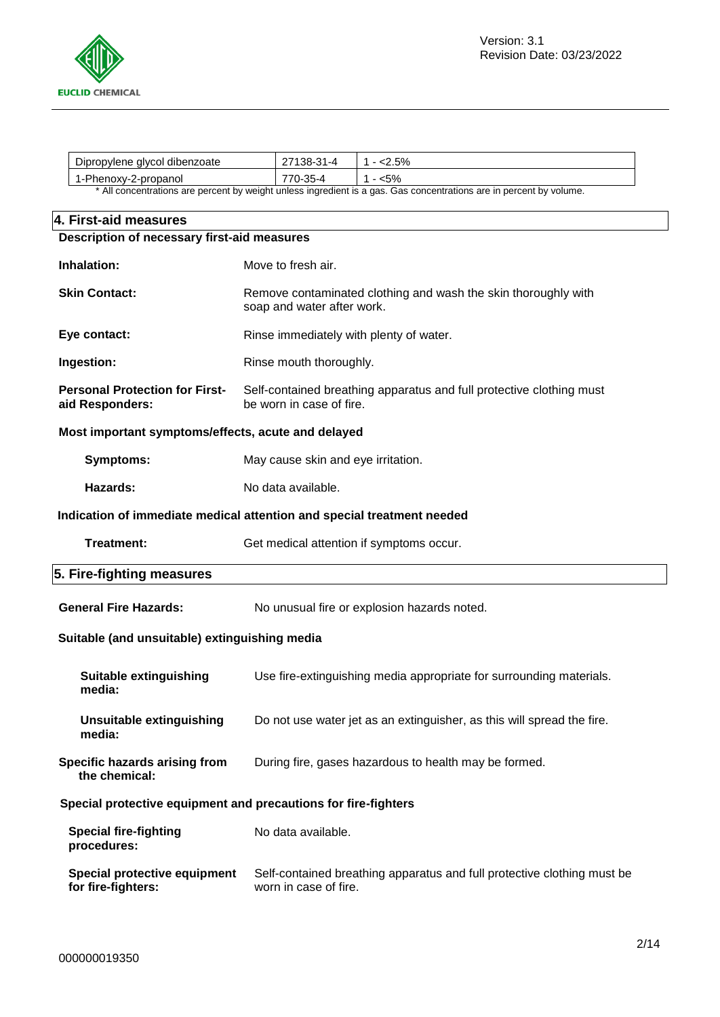

| Dipropylene<br>' dibenzoate<br>alvcol                                                                                                         | 1 – 4<br>ີ ຕ= | co, |
|-----------------------------------------------------------------------------------------------------------------------------------------------|---------------|-----|
| 1-Phenoxy-2-propanol                                                                                                                          | ົ້            | c٥. |
| $\star$ All received and conserved become the college transfluents of an and $\bigwedge$ is a conserved to a conserved become the contract of |               |     |

All concentrations are percent by weight unless ingredient is a gas. Gas concentrations are in percent by volume.

| 4. First-aid measures                                                  |                                                                                                  |  |
|------------------------------------------------------------------------|--------------------------------------------------------------------------------------------------|--|
| Description of necessary first-aid measures                            |                                                                                                  |  |
| Inhalation:                                                            | Move to fresh air.                                                                               |  |
| <b>Skin Contact:</b>                                                   | Remove contaminated clothing and wash the skin thoroughly with<br>soap and water after work.     |  |
| Eye contact:                                                           | Rinse immediately with plenty of water.                                                          |  |
| Ingestion:                                                             | Rinse mouth thoroughly.                                                                          |  |
| <b>Personal Protection for First-</b><br>aid Responders:               | Self-contained breathing apparatus and full protective clothing must<br>be worn in case of fire. |  |
| Most important symptoms/effects, acute and delayed                     |                                                                                                  |  |
| <b>Symptoms:</b>                                                       | May cause skin and eye irritation.                                                               |  |
| Hazards:                                                               | No data available.                                                                               |  |
| Indication of immediate medical attention and special treatment needed |                                                                                                  |  |
| Treatment:                                                             | Get medical attention if symptoms occur.                                                         |  |
| 5. Fire-fighting measures                                              |                                                                                                  |  |
| <b>General Fire Hazards:</b>                                           | No unusual fire or explosion hazards noted.                                                      |  |
| Suitable (and unsuitable) extinguishing media                          |                                                                                                  |  |
| <b>Suitable extinguishing</b><br>media:                                | Use fire-extinguishing media appropriate for surrounding materials.                              |  |
| <b>Unsuitable extinguishing</b><br>media:                              | Do not use water jet as an extinguisher, as this will spread the fire.                           |  |
| Specific hazards arising from<br>the chemical:                         | During fire, gases hazardous to health may be formed.                                            |  |
| Special protective equipment and precautions for fire-fighters         |                                                                                                  |  |
| <b>Special fire-fighting</b><br>procedures:                            | No data available.                                                                               |  |
| Special protective equipment<br>for fire-fighters:                     | Self-contained breathing apparatus and full protective clothing must be<br>worn in case of fire. |  |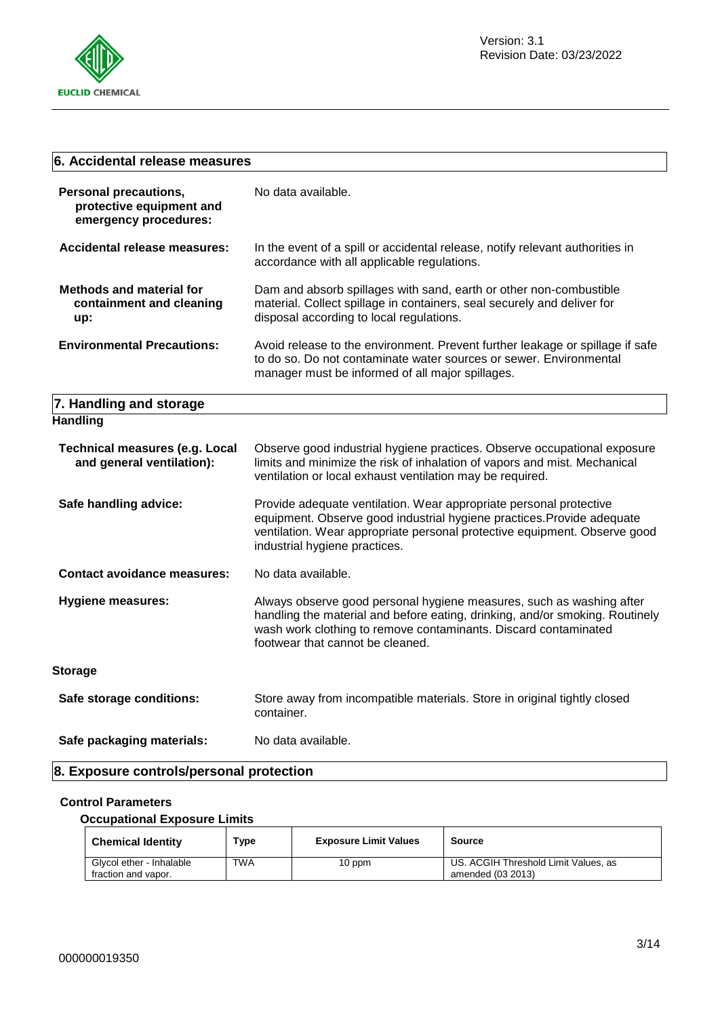

| 6. Accidental release measures                                                    |                                                                                                                                                                                                                                                             |  |
|-----------------------------------------------------------------------------------|-------------------------------------------------------------------------------------------------------------------------------------------------------------------------------------------------------------------------------------------------------------|--|
| <b>Personal precautions,</b><br>protective equipment and<br>emergency procedures: | No data available.                                                                                                                                                                                                                                          |  |
| <b>Accidental release measures:</b>                                               | In the event of a spill or accidental release, notify relevant authorities in<br>accordance with all applicable regulations.                                                                                                                                |  |
| <b>Methods and material for</b><br>containment and cleaning<br>up:                | Dam and absorb spillages with sand, earth or other non-combustible<br>material. Collect spillage in containers, seal securely and deliver for<br>disposal according to local regulations.                                                                   |  |
| <b>Environmental Precautions:</b>                                                 | Avoid release to the environment. Prevent further leakage or spillage if safe<br>to do so. Do not contaminate water sources or sewer. Environmental<br>manager must be informed of all major spillages.                                                     |  |
| 7. Handling and storage                                                           |                                                                                                                                                                                                                                                             |  |
| <b>Handling</b>                                                                   |                                                                                                                                                                                                                                                             |  |
| <b>Technical measures (e.g. Local</b><br>and general ventilation):                | Observe good industrial hygiene practices. Observe occupational exposure<br>limits and minimize the risk of inhalation of vapors and mist. Mechanical<br>ventilation or local exhaust ventilation may be required.                                          |  |
| Safe handling advice:                                                             | Provide adequate ventilation. Wear appropriate personal protective<br>equipment. Observe good industrial hygiene practices. Provide adequate<br>ventilation. Wear appropriate personal protective equipment. Observe good<br>industrial hygiene practices.  |  |
| <b>Contact avoidance measures:</b>                                                | No data available.                                                                                                                                                                                                                                          |  |
| <b>Hygiene measures:</b>                                                          | Always observe good personal hygiene measures, such as washing after<br>handling the material and before eating, drinking, and/or smoking. Routinely<br>wash work clothing to remove contaminants. Discard contaminated<br>footwear that cannot be cleaned. |  |
| <b>Storage</b>                                                                    |                                                                                                                                                                                                                                                             |  |
| Safe storage conditions:                                                          | Store away from incompatible materials. Store in original tightly closed<br>container.                                                                                                                                                                      |  |
| Safe packaging materials:                                                         | No data available.                                                                                                                                                                                                                                          |  |
| 8. Exposure controls/personal protection                                          |                                                                                                                                                                                                                                                             |  |

#### **Control Parameters**

#### **Occupational Exposure Limits**

| <b>Chemical Identity</b>                        | Type | <b>Exposure Limit Values</b> | <b>Source</b>                                             |
|-------------------------------------------------|------|------------------------------|-----------------------------------------------------------|
| Glycol ether - Inhalable<br>fraction and vapor. | TWA  | 10 ppm                       | US. ACGIH Threshold Limit Values, as<br>amended (03 2013) |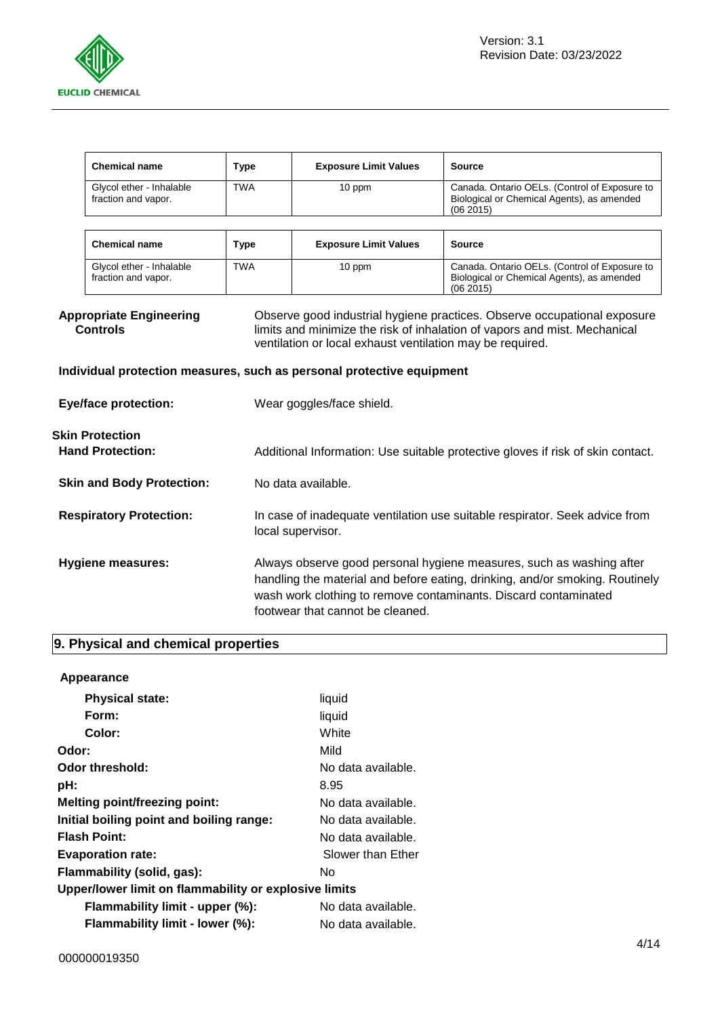

|                                                                                                                                                                                                                                                                         | <b>Chemical name</b>                              | <b>Type</b>                                                                                                                                                                                                                                                 | <b>Exposure Limit Values</b>                                          | Source                                                                                                  |
|-------------------------------------------------------------------------------------------------------------------------------------------------------------------------------------------------------------------------------------------------------------------------|---------------------------------------------------|-------------------------------------------------------------------------------------------------------------------------------------------------------------------------------------------------------------------------------------------------------------|-----------------------------------------------------------------------|---------------------------------------------------------------------------------------------------------|
|                                                                                                                                                                                                                                                                         | Glycol ether - Inhalable<br>fraction and vapor.   | <b>TWA</b>                                                                                                                                                                                                                                                  | 10 ppm                                                                | Canada. Ontario OELs. (Control of Exposure to<br>Biological or Chemical Agents), as amended<br>(062015) |
|                                                                                                                                                                                                                                                                         |                                                   |                                                                                                                                                                                                                                                             |                                                                       |                                                                                                         |
|                                                                                                                                                                                                                                                                         | <b>Chemical name</b>                              | <b>Type</b>                                                                                                                                                                                                                                                 | <b>Exposure Limit Values</b>                                          | <b>Source</b>                                                                                           |
|                                                                                                                                                                                                                                                                         | Glycol ether - Inhalable<br>fraction and vapor.   | <b>TWA</b>                                                                                                                                                                                                                                                  | 10 ppm                                                                | Canada. Ontario OELs. (Control of Exposure to<br>Biological or Chemical Agents), as amended<br>(062015) |
| <b>Appropriate Engineering</b><br>Observe good industrial hygiene practices. Observe occupational exposure<br><b>Controls</b><br>limits and minimize the risk of inhalation of vapors and mist. Mechanical<br>ventilation or local exhaust ventilation may be required. |                                                   |                                                                                                                                                                                                                                                             |                                                                       |                                                                                                         |
|                                                                                                                                                                                                                                                                         |                                                   |                                                                                                                                                                                                                                                             | Individual protection measures, such as personal protective equipment |                                                                                                         |
|                                                                                                                                                                                                                                                                         | <b>Eye/face protection:</b>                       |                                                                                                                                                                                                                                                             | Wear goggles/face shield.                                             |                                                                                                         |
|                                                                                                                                                                                                                                                                         | <b>Skin Protection</b><br><b>Hand Protection:</b> |                                                                                                                                                                                                                                                             |                                                                       | Additional Information: Use suitable protective gloves if risk of skin contact.                         |
|                                                                                                                                                                                                                                                                         | <b>Skin and Body Protection:</b>                  | No data available.                                                                                                                                                                                                                                          |                                                                       |                                                                                                         |
|                                                                                                                                                                                                                                                                         | <b>Respiratory Protection:</b>                    | In case of inadequate ventilation use suitable respirator. Seek advice from<br>local supervisor.                                                                                                                                                            |                                                                       |                                                                                                         |
|                                                                                                                                                                                                                                                                         | Hygiene measures:                                 | Always observe good personal hygiene measures, such as washing after<br>handling the material and before eating, drinking, and/or smoking. Routinely<br>wash work clothing to remove contaminants. Discard contaminated<br>footwear that cannot be cleaned. |                                                                       |                                                                                                         |

## **9. Physical and chemical properties**

| Appearance                                            |                    |
|-------------------------------------------------------|--------------------|
| <b>Physical state:</b>                                | liquid             |
| Form:                                                 | liquid             |
| Color:                                                | White              |
| Odor:                                                 | Mild               |
| Odor threshold:                                       | No data available. |
| pH:                                                   | 8.95               |
| <b>Melting point/freezing point:</b>                  | No data available. |
| Initial boiling point and boiling range:              | No data available. |
| <b>Flash Point:</b>                                   | No data available. |
| <b>Evaporation rate:</b>                              | Slower than Ether  |
| Flammability (solid, gas):                            | Nο                 |
| Upper/lower limit on flammability or explosive limits |                    |
| Flammability limit - upper (%):                       | No data available. |
| Flammability limit - lower (%):                       | No data available. |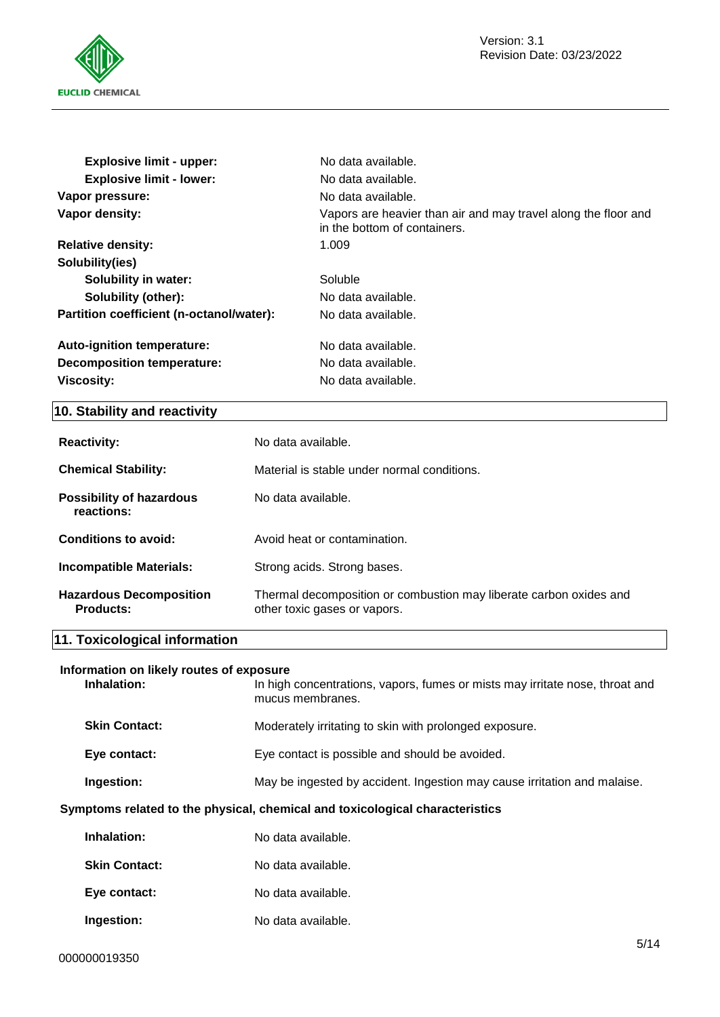

| <b>Explosive limit - upper:</b>          | No data available.                                                                             |
|------------------------------------------|------------------------------------------------------------------------------------------------|
| <b>Explosive limit - lower:</b>          | No data available.                                                                             |
| Vapor pressure:                          | No data available.                                                                             |
| Vapor density:                           | Vapors are heavier than air and may travel along the floor and<br>in the bottom of containers. |
| <b>Relative density:</b>                 | 1.009                                                                                          |
| Solubility(ies)                          |                                                                                                |
| <b>Solubility in water:</b>              | Soluble                                                                                        |
| Solubility (other):                      | No data available.                                                                             |
| Partition coefficient (n-octanol/water): | No data available.                                                                             |
| Auto-ignition temperature:               | No data available.                                                                             |
| Decomposition temperature:               | No data available.                                                                             |
| <b>Viscosity:</b>                        | No data available.                                                                             |

#### **10. Stability and reactivity**

| <b>Reactivity:</b>                            | No data available.                                                                                 |  |
|-----------------------------------------------|----------------------------------------------------------------------------------------------------|--|
| <b>Chemical Stability:</b>                    | Material is stable under normal conditions.                                                        |  |
| <b>Possibility of hazardous</b><br>reactions: | No data available.                                                                                 |  |
| Conditions to avoid:                          | Avoid heat or contamination.                                                                       |  |
| <b>Incompatible Materials:</b>                | Strong acids. Strong bases.                                                                        |  |
| <b>Hazardous Decomposition</b><br>Products:   | Thermal decomposition or combustion may liberate carbon oxides and<br>other toxic gases or vapors. |  |

#### **11. Toxicological information**

## **Information on likely routes of exposure**

In high concentrations, vapors, fumes or mists may irritate nose, throat and mucus membranes. **Skin Contact:** Moderately irritating to skin with prolonged exposure. Eye contact: Eye contact is possible and should be avoided.

**Ingestion:** May be ingested by accident. Ingestion may cause irritation and malaise.

## **Symptoms related to the physical, chemical and toxicological characteristics**

| Inhalation:          | No data available. |
|----------------------|--------------------|
| <b>Skin Contact:</b> | No data available. |
| Eye contact:         | No data available. |
| Ingestion:           | No data available. |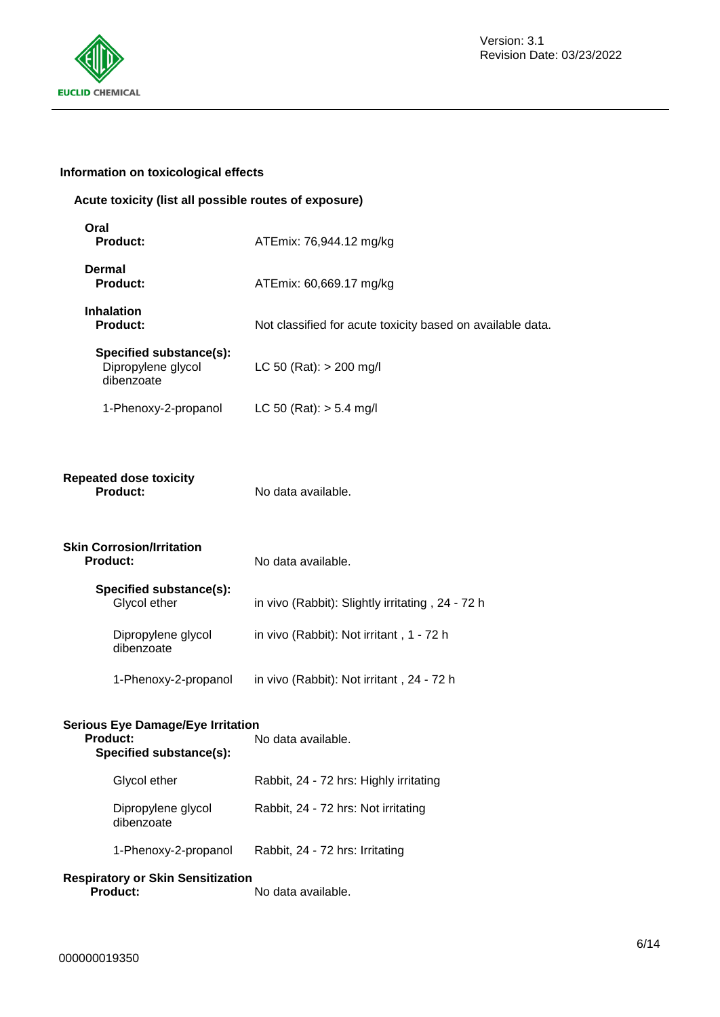

#### **Information on toxicological effects**

#### **Acute toxicity (list all possible routes of exposure)**

| Oral<br><b>Product:</b>                                     | ATEmix: 76,944.12 mg/kg                                    |
|-------------------------------------------------------------|------------------------------------------------------------|
| Dermal<br><b>Product:</b>                                   | ATEmix: 60,669.17 mg/kg                                    |
| <b>Inhalation</b><br><b>Product:</b>                        | Not classified for acute toxicity based on available data. |
| Specified substance(s):<br>Dipropylene glycol<br>dibenzoate | LC 50 (Rat): $> 200$ mg/l                                  |
| 1-Phenoxy-2-propanol                                        | LC 50 (Rat): $> 5.4$ mg/l                                  |
| <b>Repeated dose toxicity</b><br><b>Product:</b>            | No data available.                                         |
| <b>Skin Corrosion/Irritation</b><br><b>Product:</b>         | No data available.                                         |
| Specified substance(s):<br>Glycol ether                     | in vivo (Rabbit): Slightly irritating, 24 - 72 h           |
| Dipropylene glycol<br>dibenzoate                            | in vivo (Rabbit): Not irritant, 1 - 72 h                   |
| 1-Phenoxy-2-propanol                                        | in vivo (Rabbit): Not irritant, 24 - 72 h                  |
| <b>Serious Eye Damage/Eye Irritation</b><br><b>Product:</b> | No data available.                                         |

| Specified substance(s):          |                                        |
|----------------------------------|----------------------------------------|
| Glycol ether                     | Rabbit, 24 - 72 hrs: Highly irritating |
| Dipropylene glycol<br>dibenzoate | Rabbit, 24 - 72 hrs: Not irritating    |

## 1-Phenoxy-2-propanol Rabbit, 24 - 72 hrs: Irritating

## **Respiratory or Skin Sensitization**

**Product:** No data available.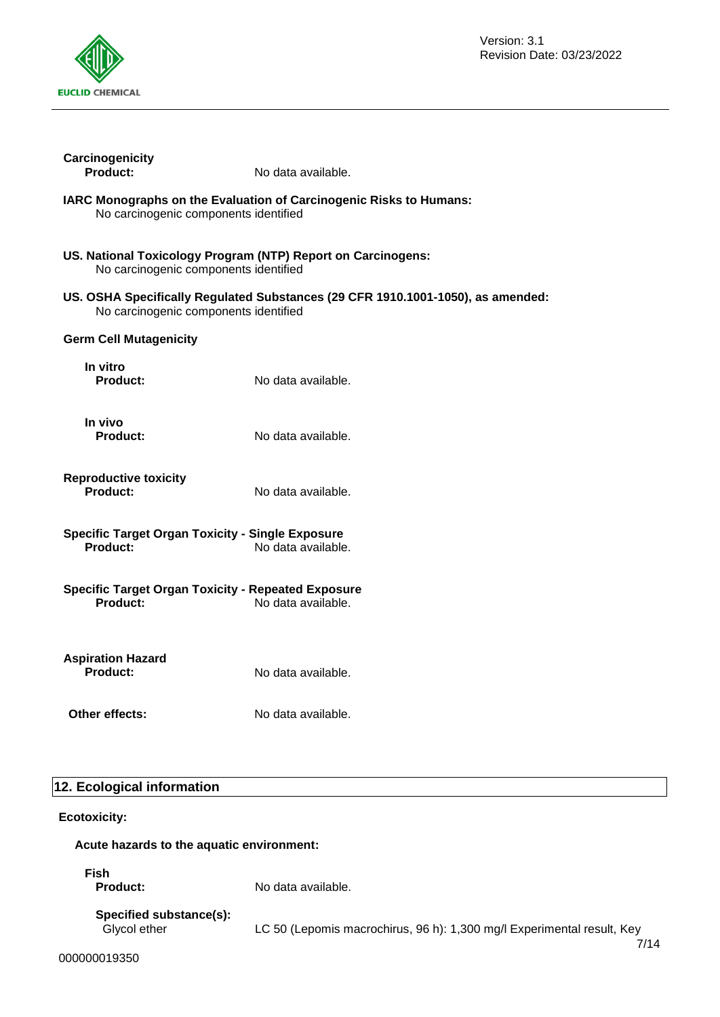

| Carcinogenicity<br>Product:                                                | No data available.                                                              |
|----------------------------------------------------------------------------|---------------------------------------------------------------------------------|
| No carcinogenic components identified                                      | IARC Monographs on the Evaluation of Carcinogenic Risks to Humans:              |
| No carcinogenic components identified                                      | US. National Toxicology Program (NTP) Report on Carcinogens:                    |
| No carcinogenic components identified                                      | US. OSHA Specifically Regulated Substances (29 CFR 1910.1001-1050), as amended: |
| <b>Germ Cell Mutagenicity</b>                                              |                                                                                 |
| In vitro<br>Product:                                                       | No data available.                                                              |
| In vivo<br>Product:                                                        | No data available.                                                              |
| <b>Reproductive toxicity</b><br>Product:                                   | No data available.                                                              |
| <b>Specific Target Organ Toxicity - Single Exposure</b><br><b>Product:</b> | No data available.                                                              |
| <b>Specific Target Organ Toxicity - Repeated Exposure</b><br>Product:      | No data available.                                                              |
| <b>Aspiration Hazard</b><br>Product:                                       | No data available.                                                              |
| Other effects:                                                             | No data available.                                                              |
|                                                                            |                                                                                 |
| 12. Ecological information                                                 |                                                                                 |
| <b>Ecotoxicity:</b>                                                        |                                                                                 |
| Acute hazards to the aquatic environment:                                  |                                                                                 |
| <b>Fish</b><br><b>Product:</b>                                             | No data available.                                                              |
| Specified substance(s):<br>Glycol ether                                    | LC 50 (Lepomis macrochirus, 96 h): 1,300 mg/l Experimental result, Key<br>7/14  |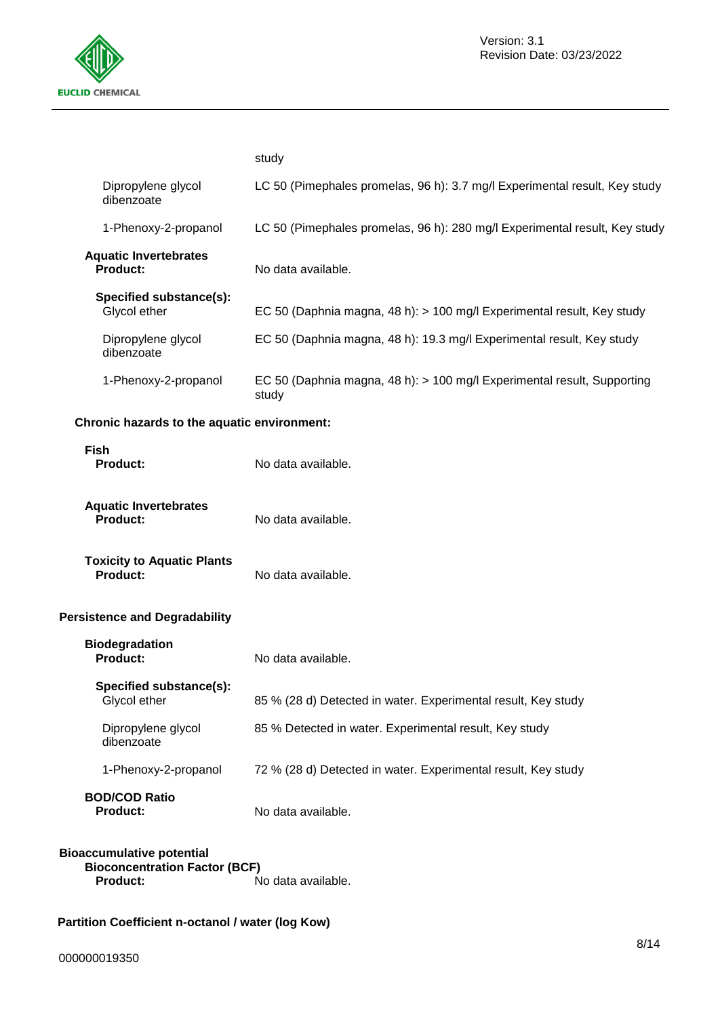

|                                                 | study                                                                            |
|-------------------------------------------------|----------------------------------------------------------------------------------|
| Dipropylene glycol<br>dibenzoate                | LC 50 (Pimephales promelas, 96 h): 3.7 mg/l Experimental result, Key study       |
| 1-Phenoxy-2-propanol                            | LC 50 (Pimephales promelas, 96 h): 280 mg/l Experimental result, Key study       |
| <b>Aquatic Invertebrates</b><br><b>Product:</b> | No data available.                                                               |
| Specified substance(s):<br>Glycol ether         | EC 50 (Daphnia magna, 48 h): > 100 mg/l Experimental result, Key study           |
| Dipropylene glycol<br>dibenzoate                | EC 50 (Daphnia magna, 48 h): 19.3 mg/l Experimental result, Key study            |
| 1-Phenoxy-2-propanol                            | EC 50 (Daphnia magna, 48 h): > 100 mg/l Experimental result, Supporting<br>study |
| Chronic hazards to the aquatic environment:     |                                                                                  |
| <b>Fish</b><br><b>Product:</b>                  | No data available.                                                               |
| <b>Aquatic Invertebrates</b><br>Product:        | No data available.                                                               |
| <b>Toxicity to Aquatic Plants</b><br>Product:   | No data available.                                                               |
| <b>Persistence and Degradability</b>            |                                                                                  |
| <b>Biodegradation</b><br>Product:               | No data available.                                                               |
| Specified substance(s):<br>Glycol ether         | 85 % (28 d) Detected in water. Experimental result, Key study                    |
| Dipropylene glycol<br>dibenzoate                | 85 % Detected in water. Experimental result, Key study                           |
| 1-Phenoxy-2-propanol                            | 72 % (28 d) Detected in water. Experimental result, Key study                    |
| <b>BOD/COD Ratio</b><br><b>Product:</b>         | No data available.                                                               |

#### **Bioaccumulative potential Bioconcentration Factor (BCF)**<br>Product: **Product:** No data available.

### **Partition Coefficient n-octanol / water (log Kow)**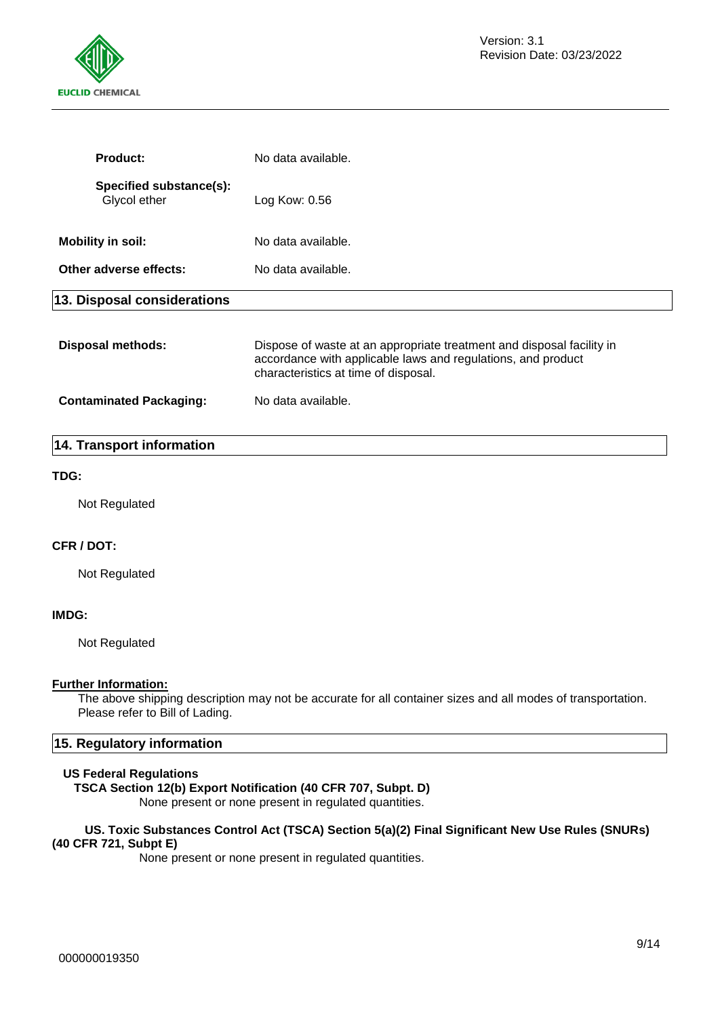

| <b>Product:</b>                         | No data available.                                                                                                                                                            |
|-----------------------------------------|-------------------------------------------------------------------------------------------------------------------------------------------------------------------------------|
| Specified substance(s):<br>Glycol ether | Log Kow: 0.56                                                                                                                                                                 |
| <b>Mobility in soil:</b>                | No data available.                                                                                                                                                            |
| Other adverse effects:                  | No data available.                                                                                                                                                            |
| 13. Disposal considerations             |                                                                                                                                                                               |
| <b>Disposal methods:</b>                | Dispose of waste at an appropriate treatment and disposal facility in<br>accordance with applicable laws and regulations, and product<br>characteristics at time of disposal. |
| <b>Contaminated Packaging:</b>          | No data available.                                                                                                                                                            |

#### **14. Transport information**

#### **TDG:**

Not Regulated

#### **CFR / DOT:**

Not Regulated

#### **IMDG:**

Not Regulated

#### **Further Information:**

The above shipping description may not be accurate for all container sizes and all modes of transportation. Please refer to Bill of Lading.

#### **15. Regulatory information**

#### **US Federal Regulations**

#### **TSCA Section 12(b) Export Notification (40 CFR 707, Subpt. D)**

None present or none present in regulated quantities.

#### **US. Toxic Substances Control Act (TSCA) Section 5(a)(2) Final Significant New Use Rules (SNURs) (40 CFR 721, Subpt E)**

None present or none present in regulated quantities.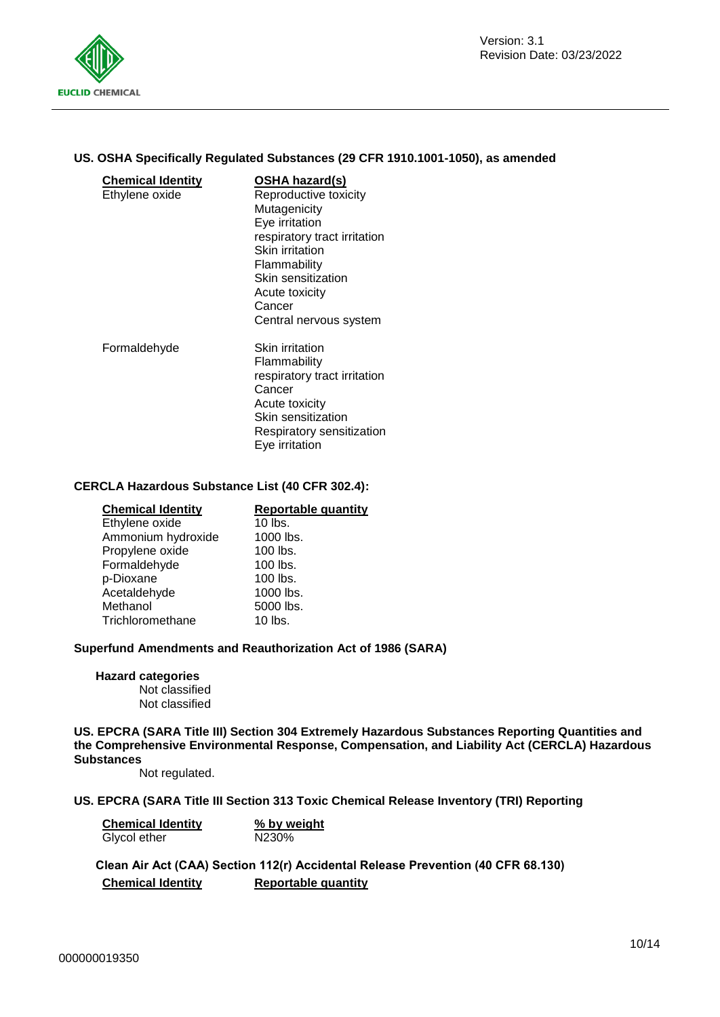

#### **US. OSHA Specifically Regulated Substances (29 CFR 1910.1001-1050), as amended**

| <b>Chemical Identity</b><br>Ethylene oxide | OSHA hazard(s)<br>Reproductive toxicity<br>Mutagenicity<br>Eye irritation<br>respiratory tract irritation<br><b>Skin irritation</b><br>Flammability<br>Skin sensitization<br>Acute toxicity<br>Cancer |
|--------------------------------------------|-------------------------------------------------------------------------------------------------------------------------------------------------------------------------------------------------------|
|                                            | Central nervous system                                                                                                                                                                                |
| Formaldehyde                               | Skin irritation<br>Flammability<br>respiratory tract irritation<br>Cancer<br>Acute toxicity<br>Skin sensitization<br>Respiratory sensitization<br>Eye irritation                                      |

#### **CERCLA Hazardous Substance List (40 CFR 302.4):**

| <b>Chemical Identity</b> | <b>Reportable quantity</b> |
|--------------------------|----------------------------|
| Ethylene oxide           | 10 lbs.                    |
| Ammonium hydroxide       | 1000 lbs.                  |
| Propylene oxide          | 100 lbs.                   |
| Formaldehyde             | $100$ lbs.                 |
| p-Dioxane                | 100 lbs.                   |
| Acetaldehyde             | 1000 lbs.                  |
| Methanol                 | 5000 lbs.                  |
| Trichloromethane         | $10$ lbs.                  |

#### **Superfund Amendments and Reauthorization Act of 1986 (SARA)**

**Hazard categories** Not classified Not classified

**US. EPCRA (SARA Title III) Section 304 Extremely Hazardous Substances Reporting Quantities and the Comprehensive Environmental Response, Compensation, and Liability Act (CERCLA) Hazardous Substances**

Not regulated.

#### **US. EPCRA (SARA Title III Section 313 Toxic Chemical Release Inventory (TRI) Reporting**

| <b>Chemical Identity</b> | % by weight        |  |
|--------------------------|--------------------|--|
| Glycol ether             | N <sub>230</sub> % |  |

**Clean Air Act (CAA) Section 112(r) Accidental Release Prevention (40 CFR 68.130) Chemical Identity Reportable quantity**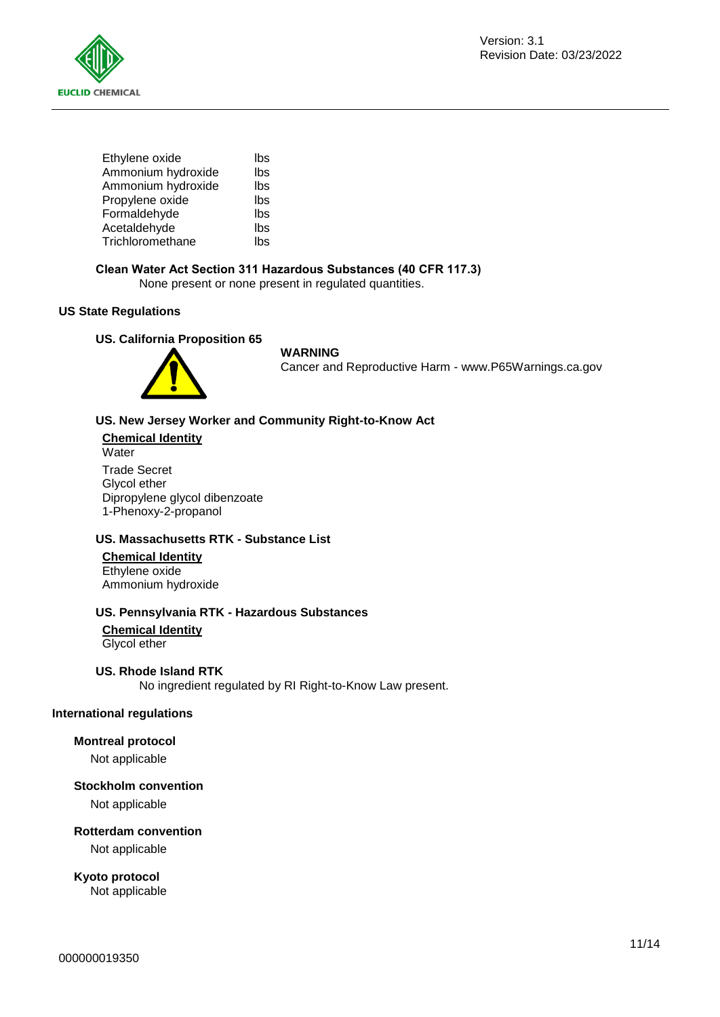



| Ethylene oxide     | lbs |
|--------------------|-----|
| Ammonium hydroxide | lbs |
| Ammonium hydroxide | lbs |
| Propylene oxide    | lbs |
| Formaldehyde       | lbs |
| Acetaldehyde       | lbs |
| Trichloromethane   | lbs |
|                    |     |

#### **Clean Water Act Section 311 Hazardous Substances (40 CFR 117.3)**

None present or none present in regulated quantities.

#### **US State Regulations**

#### **US. California Proposition 65**



#### **WARNING**

Cancer and Reproductive Harm - www.P65Warnings.ca.gov

#### **US. New Jersey Worker and Community Right-to-Know Act**

**Chemical Identity Water** Trade Secret Glycol ether Dipropylene glycol dibenzoate 1-Phenoxy-2-propanol

#### **US. Massachusetts RTK - Substance List**

#### **Chemical Identity**

Ethylene oxide Ammonium hydroxide

#### **US. Pennsylvania RTK - Hazardous Substances**

**Chemical Identity**

Glycol ether

#### **US. Rhode Island RTK**

No ingredient regulated by RI Right-to-Know Law present.

#### **International regulations**

#### **Montreal protocol**

Not applicable

#### **Stockholm convention**

Not applicable

#### **Rotterdam convention**

Not applicable

**Kyoto protocol** Not applicable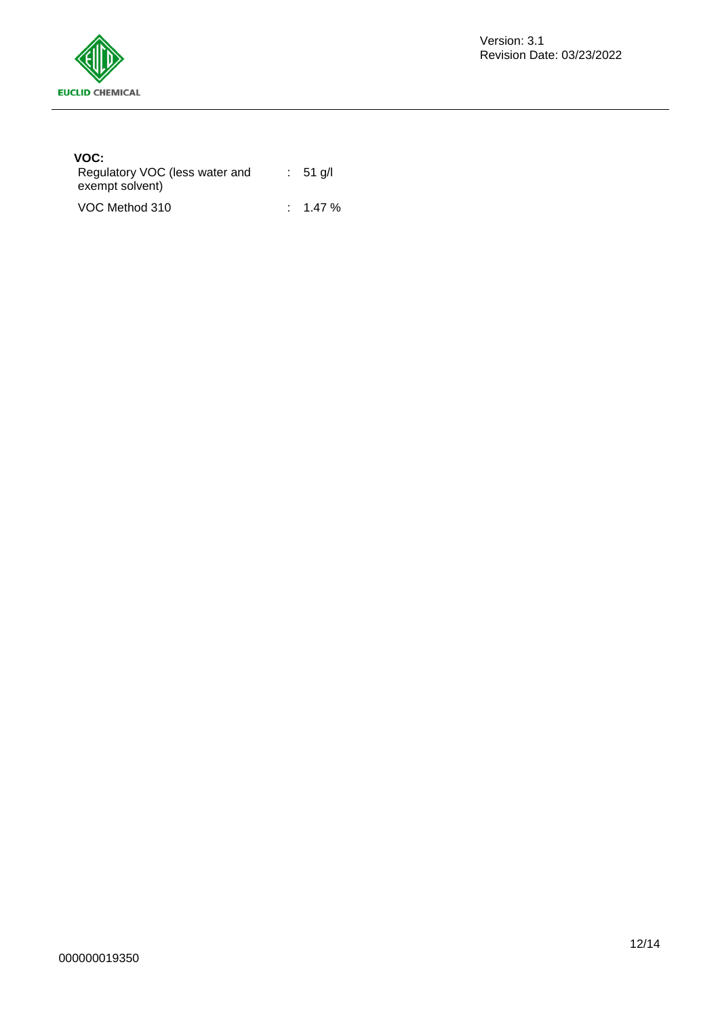

#### **VOC:**

| Regulatory VOC (less water and<br>exempt solvent) | $: 51$ q/l          |
|---------------------------------------------------|---------------------|
| VOC Method 310                                    | $\therefore$ 1.47 % |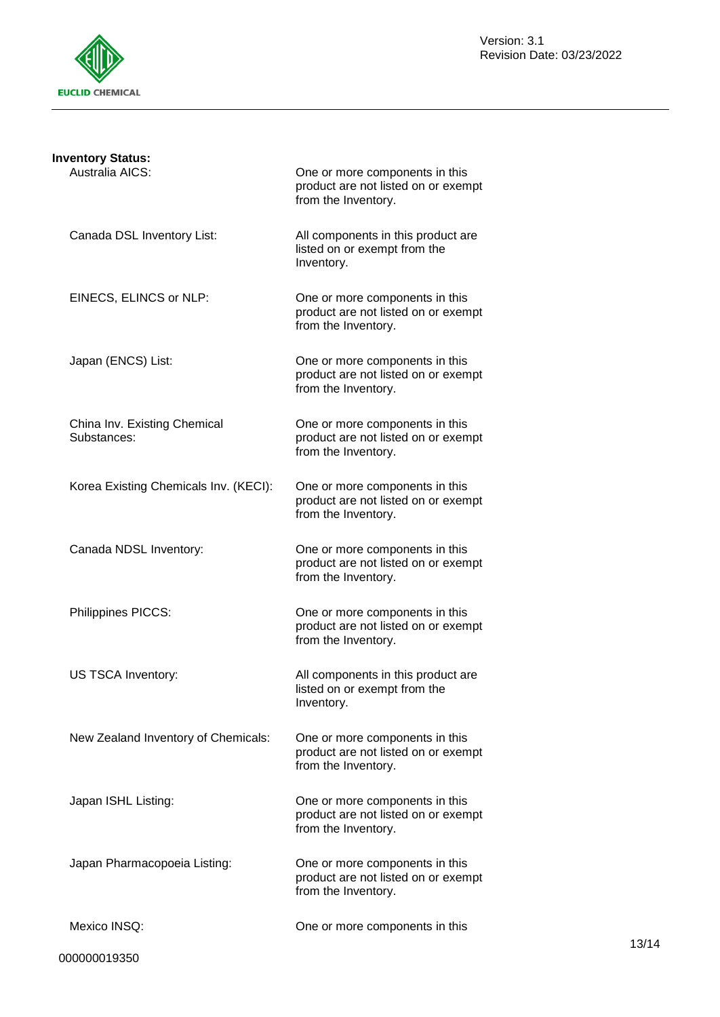

| <b>Inventory Status:</b>                    |                                                                                              |
|---------------------------------------------|----------------------------------------------------------------------------------------------|
| Australia AICS:                             | One or more components in this<br>product are not listed on or exempt<br>from the Inventory. |
| Canada DSL Inventory List:                  | All components in this product are<br>listed on or exempt from the<br>Inventory.             |
| EINECS, ELINCS or NLP:                      | One or more components in this<br>product are not listed on or exempt<br>from the Inventory. |
| Japan (ENCS) List:                          | One or more components in this<br>product are not listed on or exempt<br>from the Inventory. |
| China Inv. Existing Chemical<br>Substances: | One or more components in this<br>product are not listed on or exempt<br>from the Inventory. |
| Korea Existing Chemicals Inv. (KECI):       | One or more components in this<br>product are not listed on or exempt<br>from the Inventory. |
| Canada NDSL Inventory:                      | One or more components in this<br>product are not listed on or exempt<br>from the Inventory. |
| Philippines PICCS:                          | One or more components in this<br>product are not listed on or exempt<br>from the Inventory. |
| US TSCA Inventory:                          | All components in this product are<br>listed on or exempt from the<br>Inventory.             |
| New Zealand Inventory of Chemicals:         | One or more components in this<br>product are not listed on or exempt<br>from the Inventory. |
| Japan ISHL Listing:                         | One or more components in this<br>product are not listed on or exempt<br>from the Inventory. |
| Japan Pharmacopoeia Listing:                | One or more components in this<br>product are not listed on or exempt<br>from the Inventory. |
| Mexico INSQ:                                | One or more components in this                                                               |